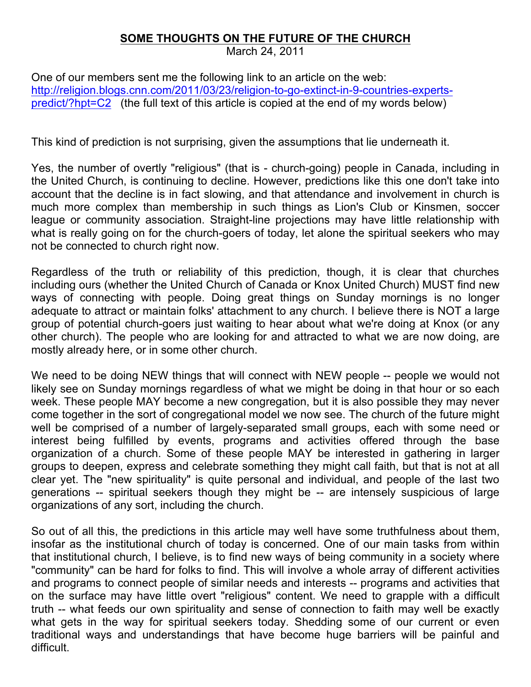## **SOME THOUGHTS ON THE FUTURE OF THE CHURCH**

March 24, 2011

One of our members sent me the following link to an article on the web: http://religion.blogs.cnn.com/2011/03/23/religion-to-go-extinct-in-9-countries-expertspredict/?hpt=C2 (the full text of this article is copied at the end of my words below)

This kind of prediction is not surprising, given the assumptions that lie underneath it.

Yes, the number of overtly "religious" (that is - church-going) people in Canada, including in the United Church, is continuing to decline. However, predictions like this one don't take into account that the decline is in fact slowing, and that attendance and involvement in church is much more complex than membership in such things as Lion's Club or Kinsmen, soccer league or community association. Straight-line projections may have little relationship with what is really going on for the church-goers of today, let alone the spiritual seekers who may not be connected to church right now.

Regardless of the truth or reliability of this prediction, though, it is clear that churches including ours (whether the United Church of Canada or Knox United Church) MUST find new ways of connecting with people. Doing great things on Sunday mornings is no longer adequate to attract or maintain folks' attachment to any church. I believe there is NOT a large group of potential church-goers just waiting to hear about what we're doing at Knox (or any other church). The people who are looking for and attracted to what we are now doing, are mostly already here, or in some other church.

We need to be doing NEW things that will connect with NEW people -- people we would not likely see on Sunday mornings regardless of what we might be doing in that hour or so each week. These people MAY become a new congregation, but it is also possible they may never come together in the sort of congregational model we now see. The church of the future might well be comprised of a number of largely-separated small groups, each with some need or interest being fulfilled by events, programs and activities offered through the base organization of a church. Some of these people MAY be interested in gathering in larger groups to deepen, express and celebrate something they might call faith, but that is not at all clear yet. The "new spirituality" is quite personal and individual, and people of the last two generations -- spiritual seekers though they might be -- are intensely suspicious of large organizations of any sort, including the church.

So out of all this, the predictions in this article may well have some truthfulness about them, insofar as the institutional church of today is concerned. One of our main tasks from within that institutional church, I believe, is to find new ways of being community in a society where "community" can be hard for folks to find. This will involve a whole array of different activities and programs to connect people of similar needs and interests -- programs and activities that on the surface may have little overt "religious" content. We need to grapple with a difficult truth -- what feeds our own spirituality and sense of connection to faith may well be exactly what gets in the way for spiritual seekers today. Shedding some of our current or even traditional ways and understandings that have become huge barriers will be painful and difficult.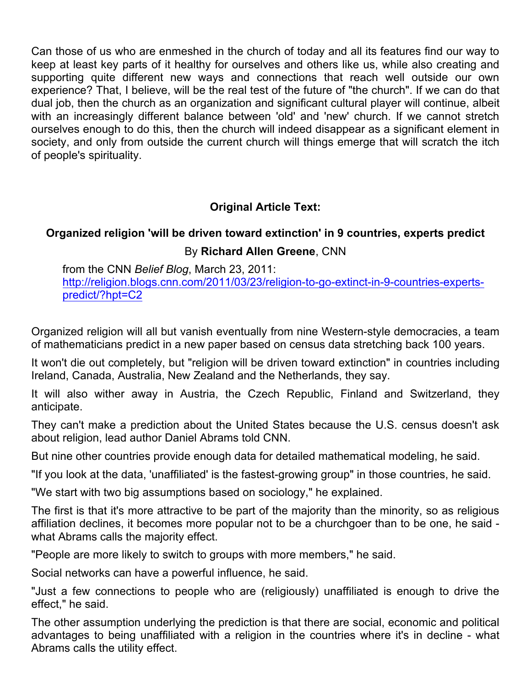Can those of us who are enmeshed in the church of today and all its features find our way to keep at least key parts of it healthy for ourselves and others like us, while also creating and supporting quite different new ways and connections that reach well outside our own experience? That, I believe, will be the real test of the future of "the church". If we can do that dual job, then the church as an organization and significant cultural player will continue, albeit with an increasingly different balance between 'old' and 'new' church. If we cannot stretch ourselves enough to do this, then the church will indeed disappear as a significant element in society, and only from outside the current church will things emerge that will scratch the itch of people's spirituality.

## **Original Article Text:**

## **Organized religion 'will be driven toward extinction' in 9 countries, experts predict** By **Richard Allen Greene**, CNN

from the CNN *Belief Blog*, March 23, 2011: http://religion.blogs.cnn.com/2011/03/23/religion-to-go-extinct-in-9-countries-expertspredict/?hpt=C2

Organized religion will all but vanish eventually from nine Western-style democracies, a team of mathematicians predict in a new paper based on census data stretching back 100 years.

It won't die out completely, but "religion will be driven toward extinction" in countries including Ireland, Canada, Australia, New Zealand and the Netherlands, they say.

It will also wither away in Austria, the Czech Republic, Finland and Switzerland, they anticipate.

They can't make a prediction about the United States because the U.S. census doesn't ask about religion, lead author Daniel Abrams told CNN.

But nine other countries provide enough data for detailed mathematical modeling, he said.

"If you look at the data, 'unaffiliated' is the fastest-growing group" in those countries, he said.

"We start with two big assumptions based on sociology," he explained.

The first is that it's more attractive to be part of the majority than the minority, so as religious affiliation declines, it becomes more popular not to be a churchgoer than to be one, he said what Abrams calls the majority effect.

"People are more likely to switch to groups with more members," he said.

Social networks can have a powerful influence, he said.

"Just a few connections to people who are (religiously) unaffiliated is enough to drive the effect," he said.

The other assumption underlying the prediction is that there are social, economic and political advantages to being unaffiliated with a religion in the countries where it's in decline - what Abrams calls the utility effect.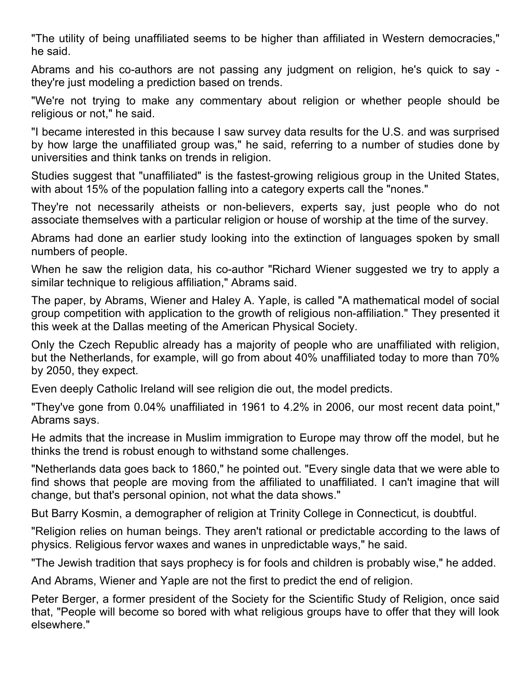"The utility of being unaffiliated seems to be higher than affiliated in Western democracies," he said.

Abrams and his co-authors are not passing any judgment on religion, he's quick to say they're just modeling a prediction based on trends.

"We're not trying to make any commentary about religion or whether people should be religious or not," he said.

"I became interested in this because I saw survey data results for the U.S. and was surprised by how large the unaffiliated group was," he said, referring to a number of studies done by universities and think tanks on trends in religion.

Studies suggest that "unaffiliated" is the fastest-growing religious group in the United States, with about 15% of the population falling into a category experts call the "nones."

They're not necessarily atheists or non-believers, experts say, just people who do not associate themselves with a particular religion or house of worship at the time of the survey.

Abrams had done an earlier study looking into the extinction of languages spoken by small numbers of people.

When he saw the religion data, his co-author "Richard Wiener suggested we try to apply a similar technique to religious affiliation," Abrams said.

The paper, by Abrams, Wiener and Haley A. Yaple, is called "A mathematical model of social group competition with application to the growth of religious non-affiliation." They presented it this week at the Dallas meeting of the American Physical Society.

Only the Czech Republic already has a majority of people who are unaffiliated with religion, but the Netherlands, for example, will go from about 40% unaffiliated today to more than 70% by 2050, they expect.

Even deeply Catholic Ireland will see religion die out, the model predicts.

"They've gone from 0.04% unaffiliated in 1961 to 4.2% in 2006, our most recent data point," Abrams says.

He admits that the increase in Muslim immigration to Europe may throw off the model, but he thinks the trend is robust enough to withstand some challenges.

"Netherlands data goes back to 1860," he pointed out. "Every single data that we were able to find shows that people are moving from the affiliated to unaffiliated. I can't imagine that will change, but that's personal opinion, not what the data shows."

But Barry Kosmin, a demographer of religion at Trinity College in Connecticut, is doubtful.

"Religion relies on human beings. They aren't rational or predictable according to the laws of physics. Religious fervor waxes and wanes in unpredictable ways," he said.

"The Jewish tradition that says prophecy is for fools and children is probably wise," he added.

And Abrams, Wiener and Yaple are not the first to predict the end of religion.

Peter Berger, a former president of the Society for the Scientific Study of Religion, once said that, "People will become so bored with what religious groups have to offer that they will look elsewhere."